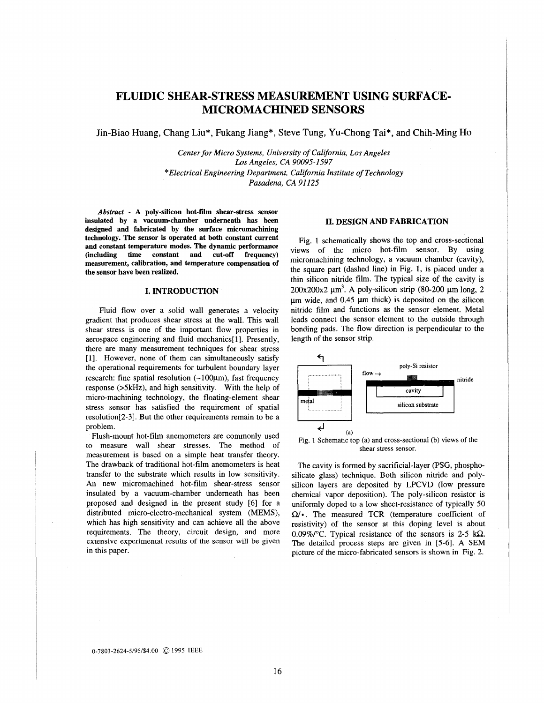# **FLUIDIC SHEAR-STRESS MEASUREMENT USING SURFACE-MICROMACHINED SENSORS**

Jin-Biao Huang, Chang Liu\*, Fukang Jiang", **Steve** Tung, Yu-Chong Tai\*, and Chih-Ming Ho

*Center for Micro Systems, University of Califomia, Los Angeles Los Angeles, CA 90095-1597 \*Electrical Engineering Department, California Institute of Technology Pasadena, CA 91 125* 

*Abstract* - **A poly-silicon hot-film shear-stress sensor insulated by a vacuum-chamber underneath has been designed and fabricated by the surface micromachining technology. The sensor is operated at both constant current and constant temperature modes. The dynamic performance (including time constant and cut-off frequency) measurement, calibration, and temperature compensation of the sensor have been realized.** 

# **I. INTRODUCTION**

Fluid flow over a solid wall generates a velocity gradient that produces shear stress at the wall. This wall shear stress is one of the important flow properties in aerospace engineering and fluid mechanics[1]. Presently, there are many measurement techniques for shear stress **[l].** However, none of them can simultaneously satisfy the operational requirements for turbulent boundary layer research: fine spatial resolution  $(-100 \mu m)$ , fast frequency response (>5kHz), and high sensitivity. With the help of micro-machining technology, the floating-element shear stress sensor has satisfied the requirement of spatial resolution[2-3]. But the other requirements remain to be a problem.

Flush-mount hot-film anemometers are commonly used to measure wall shear stresses. The method of measurement is based on a simple heat transfer theory. The drawback of traditional hot-film anemometers is heat transfer to the substrate which results in low sensitivity. An new micromachined hot-film shear-stress sensor insulated by a vacuum-chamber underneath has been proposed and designed in the present study *[6]* for a distributed micro-electro-mechanical system (MEMS), which has high sensitivity and can achieve all the above requirements. The theory, circuit design, and more **extensive experimental results** of the sensor will **be** given in this paper.

## **II. DESIGN AND FABRICATION**

Fig. 1 schematically shows the top and cross-sectional views of the micro hot-film sensor. By using micromachining technology, a vacuum chamber (cavity), the square part (dashed line) in Fig. 1, is piaced under a thin silicon nitride film. The typical size of the cavity is  $200x200x2 \mu m^3$ . A poly-silicon strip (80-200  $\mu$ m long, 2  $\mu$ m wide, and 0.45  $\mu$ m thick) is deposited on the silicon nitride film and functions as the sensor element. Metal leads connect the sensor element to the outside through bonding pads. The flow direction is perpendicular to the length of the sensor strip. **FREMENT USING SURFACE-**<br> **DDENSORS**<br> **Poly-Grand**, *Los Angeles*<br>  $\eta$  of California, *Los Angeles*<br> **poly-Grand**, *Los Angeles*<br> **poly-Grand**<br> **poly-Grand Institute of Technology**<br> **Poly-Size Angeles**<br> **Poly-Size Angele** 



**Fig. 1 Schematic top (a)** and **cross-sectional (b) views of the shear stress** sensor.

The cavity is formed by sacrificial-layer (PSG, phosphosilicate glass) technique. Both silicon nitride and polysilicon layers are deposited by LPCVD (low pressure chemical vapor deposition). The poly-silicon resistor is uniformly doped to a low sheet-resistance of typically 50  $\Omega$ <sup>\*</sup>. The measured TCR (temperature coefficient of resistivity) of the sensor at this doping level is about 0.09%/°C. Typical resistance of the sensors is 2-5  $k\Omega$ . The detailed process steps are given in [5-6]. A SEM picture of the micro-fabricated sensors is shown in [Fig.](#page-1-0) *2.*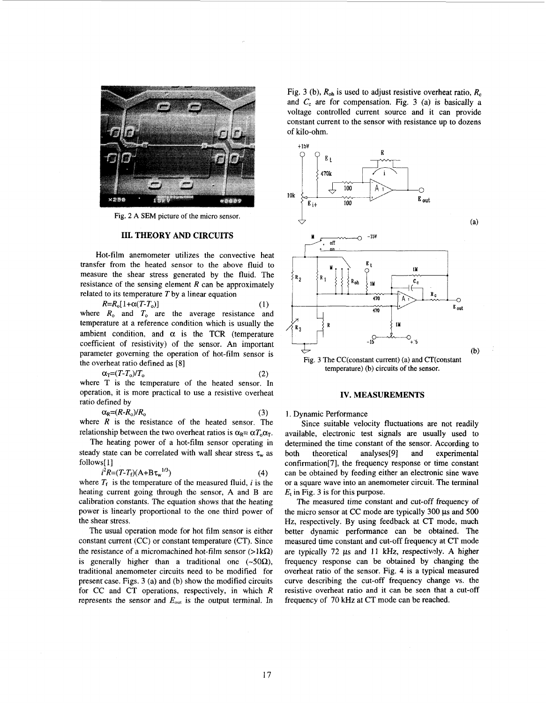<span id="page-1-0"></span>

Fig. **2 A SEM** picture of the micro sensor.

# **111. THEORY AND CIRCUITS**

Hot-film anemometer utilizes the convective heat transfer from the heated sensor to the above fluid to measure the shear stress generated by the fluid. The resistance of the sensing element *R* can be approximately related to its temperature *T* by a linear equation

where  $R_0$  and  $T_0$  are the average resistance and temperature at a reference condition which is usually the ambient condition, and  $\alpha$  is the TCR (temperature coefficient of resistivity) of the sensor. An important parameter governing the operation of hot-film sensor is the overheat ratio defined as [8]  $R = R_o[1 + \alpha (T - T_o)]$  (1)

where T is the temperature of the heated sensor. In operation, it is more practical to use a resistive overheat  $\alpha_{\rm T} = (T - T_{\rm o})/T_{\rm o}$  (2)

ratio defined by  

$$
C_2 = (R - R) / R
$$
 (3)

where *R* is the resistance of the heated sensor. The where *R* is the resistance of the heated sensor. The relationship between the two overheat ratios is  $\alpha_R = \alpha T_o \alpha_T$ .

The heating power of a hot-film sensor operating in steady state can be correlated with wall shear stress  $\tau_w$  as follows[ *<sup>11</sup>*

$$
i^2 R = (T - T_f)(A + B \tau_w^{1/3})
$$
 (4)

where  $T_f$  is the temperature of the measured fluid,  $i$  is the heating current going through the sensor, *A* and *B* are calibration constants. The equation shows that the heating power is linearly proportional to the one third power of the shear stress.

The usual operation mode for hot film sensor is either constant current (CC) or constant temperature (CT). Since the resistance of a micromachined hot-film sensor  $(>\!\!1 \, k\Omega)$ is generally higher than a traditional one  $(-50\Omega)$ , traditional anemometer circuits need to be modified for present case. Figs. 3 (a) and (b) show the modified circuits for CC and CT operations, respectively, in which *R*  represents the sensor and  $E_{\text{out}}$  is the output terminal. In Fig. 3 (b),  $R_{oh}$  is used to adjust resistive overheat ratio,  $R_c$ and *C,* are for compensation. Fig. **3** (a) **is** basically a voltage controlled current source and it can provide constant current to the sensor with resistance up to dozens of kilo-ohm.



Fig. 3 The CC(constant current) (a) and CT(constant temperature) (b) circuits of the sensor.

### **IV. MEASUREMENTS**

## 1. Dynamic Performance

Since suitable velocity fluctuations are not readily available, electronic test signals are usually used to determined the time constant of the sensor. According to both theoretical analyses[9] and experimental confirmation[7], the frequency response or time constant can be obtained by feeding either an electronic sine wave or a square wave into an anemometer circuit. The terminal *Et* in Fig. **3** is for this purpose.

The measured time constant and cut-off frequency of the micro sensor at CC mode are typically 300 **ps** and 500 Hz, respectively. By using feedback at CT mode, much better dynamic performance can be obtained. The measured time constant and cut-off frequency at CT mode are typically 72 us and 11 kHz, respectively. A higher frequency response can be obtained by changing the overheat ratio of the sensor. [Fig.](#page-2-0) **4** is a typical measured curve describing the cut-off frequency change **vs.** the resistive overheat ratio and it can be seen that a cut-off frequency of 70 kHz at CT mode can be reached.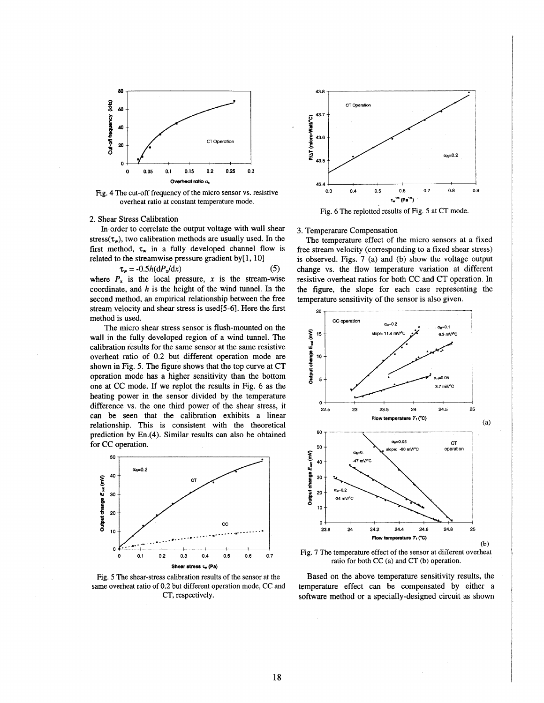<span id="page-2-0"></span>

Fig. **4** The cut-off frequency of the micro sensor **vs.** resistive overheat ratio at constant temperature mode.

# 2. Shear Stress Calibration

In order to correlate the output voltage with wall shear stress( $\tau_w$ ), two calibration methods are usually used. In the first method,  $\tau_w$  in a fully developed channel flow is related to the streamwise pressure gradient by[1, 10]

$$
\tau_{\rm w} = -0.5h(dP_{\rm x}/dx) \tag{5}
$$

where  $P_x$  is the local pressure, x is the stream-wise coordinate, and *h* is the height of the wind tunnel. In the second method, **an** empirical relationship between the free stream velocity and shear stress is used[5-6]. Here the first method is used.

The micro shear stress sensor is flush-mounted on the wall in the fully developed region of a wind tunnel. The calibration results for the same sensor at the same resistive overheat ratio of 0.2 but different operation mode are shown in Fig. *5.* The figure shows that the top curve at CT operation mode has a higher sensitivity than the bottom one at CC mode. If we replot the results in Fig. *6* **as** the heating power in the sensor divided by the temperature difference vs. the one third power of the shear stress, it can be seen that the calibration exhibits a linear relationship. This is consistent with the theoretical prediction by En.(4). Similar results can also be obtained for CC operation.



Fig. *5* The shear-stress calibration results of the sensor at the same overheat ratio of **0.2** but different operation mode, CC and CT, respectively.



Fig. **6** The replotted results of Fig. 5 at CT mode.

## **3.** Temperature Compensation

The temperature effect of the micro sensors at a fixed free stream velocity (corresponding to a fixed shear stress) is observed. Figs. 7 (a) and (b) show the voltage output change vs. the flow temperature variation at different resistive overheat ratios for both CC and CT operation. In the figure, the slope for each case representing the temperature sensitivity of the sensor is also given.



Fig. 7 The temperature effect of the sensor at different overheat ratio **for** both CC (a) and CT (b) operation.

Based on the above temperature sensitivity results, the temperature effect can be compensated by either a software method or a specially-designed circuit as shown